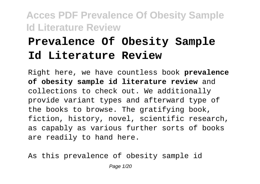# **Prevalence Of Obesity Sample Id Literature Review**

Right here, we have countless book **prevalence of obesity sample id literature review** and collections to check out. We additionally provide variant types and afterward type of the books to browse. The gratifying book, fiction, history, novel, scientific research, as capably as various further sorts of books are readily to hand here.

As this prevalence of obesity sample id Page 1/20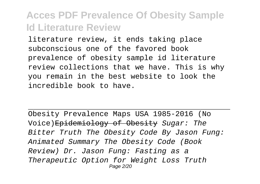literature review, it ends taking place subconscious one of the favored book prevalence of obesity sample id literature review collections that we have. This is why you remain in the best website to look the incredible book to have.

Obesity Prevalence Maps USA 1985-2016 (No Voice)Epidemiology of Obesity Sugar: The Bitter Truth The Obesity Code By Jason Fung: Animated Summary The Obesity Code (Book Review) Dr. Jason Fung: Fasting as a Therapeutic Option for Weight Loss Truth Page 2/20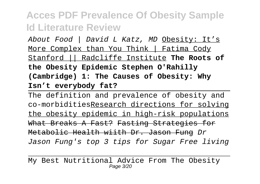About Food | David L Katz, MD Obesity: It's More Complex than You Think | Fatima Cody Stanford || Radcliffe Institute **The Roots of the Obesity Epidemic Stephen O'Rahilly (Cambridge) 1: The Causes of Obesity: Why Isn't everybody fat?**

The definition and prevalence of obesity and co-morbiditiesResearch directions for solving the obesity epidemic in high-risk populations What Breaks A Fast? Fasting Strategies for Metabolic Health wiith Dr. Jason Fung Dr Jason Fung's top 3 tips for Sugar Free living

My Best Nutritional Advice From The Obesity Page 3/20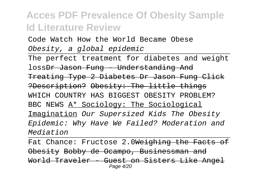Code Watch How the World Became Obese Obesity, a global epidemic

The perfect treatment for diabetes and weight loss<del>Dr Jason Fung - Understanding And</del> Treating Type 2 Diabetes Dr Jason Fung Click ?Description? Obesity: The little things WHICH COUNTRY HAS BIGGEST OBESITY PROBLEM? BBC NEWS A\* Sociology: The Sociological Imagination Our Supersized Kids The Obesity Epidemic: Why Have We Failed? Moderation and Mediation

Fat Chance: Fructose 2.0Weighing the Facts of Obesity Bobby de Ocampo, Businessman and World Traveler - Guest on Sisters Like Angel Page 4/20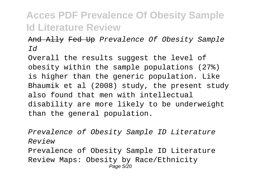And Ally Fed Up Prevalence Of Obesity Sample Id

Overall the results suggest the level of obesity within the sample populations (27%) is higher than the generic population. Like Bhaumik et al (2008) study, the present study also found that men with intellectual disability are more likely to be underweight than the general population.

Prevalence of Obesity Sample ID Literature Review Prevalence of Obesity Sample ID Literature Review Maps: Obesity by Race/Ethnicity Page 5/20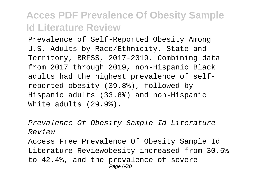Prevalence of Self-Reported Obesity Among U.S. Adults by Race/Ethnicity, State and Territory, BRFSS, 2017-2019. Combining data from 2017 through 2019, non-Hispanic Black adults had the highest prevalence of selfreported obesity (39.8%), followed by Hispanic adults (33.8%) and non-Hispanic White adults (29.9%).

Prevalence Of Obesity Sample Id Literature Review Access Free Prevalence Of Obesity Sample Id Literature Reviewobesity increased from 30.5% to 42.4%, and the prevalence of severe Page 6/20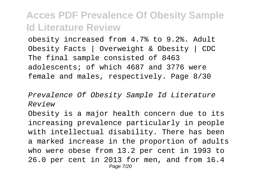obesity increased from 4.7% to 9.2%. Adult Obesity Facts | Overweight & Obesity | CDC The final sample consisted of 8463 adolescents; of which 4687 and 3776 were female and males, respectively. Page 8/30

Prevalence Of Obesity Sample Id Literature Review

Obesity is a major health concern due to its increasing prevalence particularly in people with intellectual disability. There has been a marked increase in the proportion of adults who were obese from 13.2 per cent in 1993 to 26.0 per cent in 2013 for men, and from 16.4 Page 7/20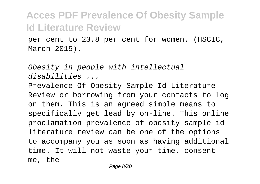per cent to 23.8 per cent for women. (HSCIC, March 2015).

Obesity in people with intellectual disabilities ...

Prevalence Of Obesity Sample Id Literature Review or borrowing from your contacts to log on them. This is an agreed simple means to specifically get lead by on-line. This online proclamation prevalence of obesity sample id literature review can be one of the options to accompany you as soon as having additional time. It will not waste your time. consent me, the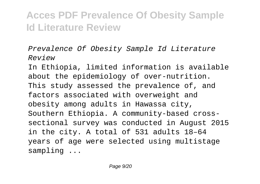Prevalence Of Obesity Sample Id Literature Review

In Ethiopia, limited information is available about the epidemiology of over-nutrition. This study assessed the prevalence of, and factors associated with overweight and obesity among adults in Hawassa city, Southern Ethiopia. A community-based crosssectional survey was conducted in August 2015 in the city. A total of 531 adults 18–64 years of age were selected using multistage sampling ...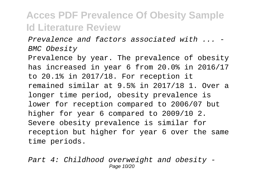Prevalence and factors associated with ... - BMC Obesity

Prevalence by year. The prevalence of obesity has increased in year 6 from 20.0% in 2016/17 to 20.1% in 2017/18. For reception it remained similar at 9.5% in 2017/18 1. Over a longer time period, obesity prevalence is lower for reception compared to 2006/07 but higher for year 6 compared to 2009/10 2. Severe obesity prevalence is similar for reception but higher for year 6 over the same time periods.

Part 4: Childhood overweight and obesity - Page 10/20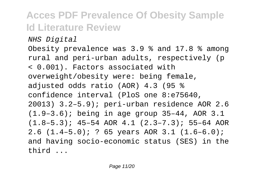NHS Digital

Obesity prevalence was 3.9 % and 17.8 % among rural and peri-urban adults, respectively (p < 0.001). Factors associated with overweight/obesity were: being female, adjusted odds ratio (AOR) 4.3 (95 % confidence interval (PloS one 8:e75640, 20013) 3.2–5.9); peri-urban residence AOR 2.6 (1.9–3.6); being in age group 35–44, AOR 3.1 (1.8–5.3); 45–54 AOR 4.1 (2.3–7.3); 55–64 AOR 2.6 (1.4–5.0); ? 65 years AOR 3.1 (1.6–6.0); and having socio-economic status (SES) in the third ...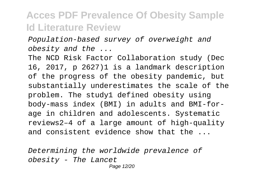Population-based survey of overweight and obesity and the ...

The NCD Risk Factor Collaboration study (Dec 16, 2017, p 2627)1 is a landmark description of the progress of the obesity pandemic, but substantially underestimates the scale of the problem. The study1 defined obesity using body-mass index (BMI) in adults and BMI-forage in children and adolescents. Systematic reviews2–4 of a large amount of high-quality and consistent evidence show that the ...

Determining the worldwide prevalence of obesity - The Lancet Page 12/20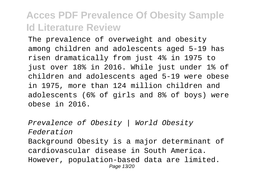The prevalence of overweight and obesity among children and adolescents aged 5-19 has risen dramatically from just 4% in 1975 to just over 18% in 2016. While just under 1% of children and adolescents aged 5-19 were obese in 1975, more than 124 million children and adolescents (6% of girls and 8% of boys) were obese in 2016.

Prevalence of Obesity | World Obesity Federation Background Obesity is a major determinant of cardiovascular disease in South America. However, population-based data are limited. Page 13/20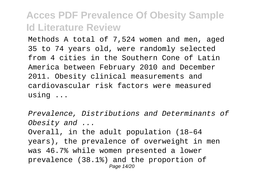Methods A total of 7,524 women and men, aged 35 to 74 years old, were randomly selected from 4 cities in the Southern Cone of Latin America between February 2010 and December 2011. Obesity clinical measurements and cardiovascular risk factors were measured using ...

Prevalence, Distributions and Determinants of Obesity and ... Overall, in the adult population (18–64 years), the prevalence of overweight in men was 46.7% while women presented a lower prevalence (38.1%) and the proportion of Page 14/20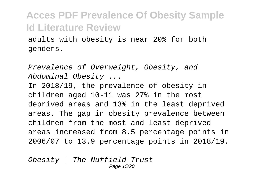adults with obesity is near 20% for both genders.

Prevalence of Overweight, Obesity, and Abdominal Obesity ...

In 2018/19, the prevalence of obesity in children aged 10-11 was 27% in the most deprived areas and 13% in the least deprived areas. The gap in obesity prevalence between children from the most and least deprived areas increased from 8.5 percentage points in 2006/07 to 13.9 percentage points in 2018/19.

Obesity | The Nuffield Trust Page 15/20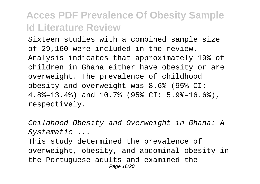Sixteen studies with a combined sample size of 29,160 were included in the review. Analysis indicates that approximately 19% of children in Ghana either have obesity or are overweight. The prevalence of childhood obesity and overweight was 8.6% (95% CI: 4.8%–13.4%) and 10.7% (95% CI: 5.9%–16.6%), respectively.

Childhood Obesity and Overweight in Ghana: A Systematic ... This study determined the prevalence of overweight, obesity, and abdominal obesity in the Portuguese adults and examined the Page 16/20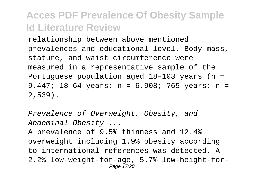relationship between above mentioned prevalences and educational level. Body mass, stature, and waist circumference were measured in a representative sample of the Portuguese population aged 18–103 years (n = 9,447; 18–64 years: n = 6,908; ?65 years: n = 2,539).

Prevalence of Overweight, Obesity, and Abdominal Obesity ...

A prevalence of 9.5% thinness and 12.4% overweight including 1.9% obesity according to international references was detected. A 2.2% low-weight-for-age, 5.7% low-height-for-Page 17/20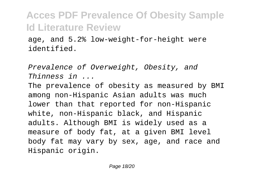age, and 5.2% low-weight-for-height were identified.

Prevalence of Overweight, Obesity, and Thinness in ...

The prevalence of obesity as measured by BMI among non-Hispanic Asian adults was much lower than that reported for non-Hispanic white, non-Hispanic black, and Hispanic adults. Although BMI is widely used as a measure of body fat, at a given BMI level body fat may vary by sex, age, and race and Hispanic origin.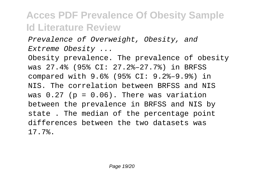Prevalence of Overweight, Obesity, and Extreme Obesity ...

Obesity prevalence. The prevalence of obesity was 27.4% (95% CI: 27.2%–27.7%) in BRFSS compared with 9.6% (95% CI: 9.2%–9.9%) in NIS. The correlation between BRFSS and NIS was  $0.27$  (p =  $0.06$ ). There was variation between the prevalence in BRFSS and NIS by state . The median of the percentage point differences between the two datasets was 17.7%.